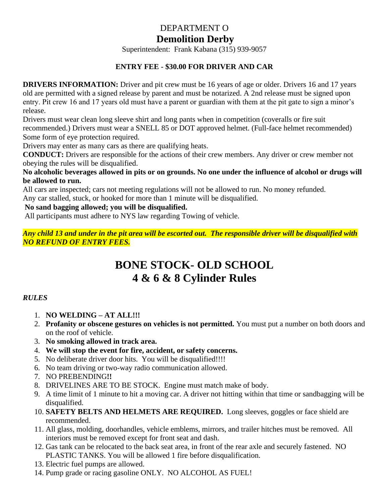## DEPARTMENT O

## **Demolition Derby**

Superintendent: Frank Kabana (315) 939-9057

### **ENTRY FEE - \$30.00 FOR DRIVER AND CAR**

**DRIVERS INFORMATION:** Driver and pit crew must be 16 years of age or older. Drivers 16 and 17 years old are permitted with a signed release by parent and must be notarized. A 2nd release must be signed upon entry. Pit crew 16 and 17 years old must have a parent or guardian with them at the pit gate to sign a minor's release.

Drivers must wear clean long sleeve shirt and long pants when in competition (coveralls or fire suit recommended.) Drivers must wear a SNELL 85 or DOT approved helmet. (Full-face helmet recommended) Some form of eye protection required.

Drivers may enter as many cars as there are qualifying heats.

**CONDUCT:** Drivers are responsible for the actions of their crew members. Any driver or crew member not obeying the rules will be disqualified.

**No alcoholic beverages allowed in pits or on grounds. No one under the influence of alcohol or drugs will be allowed to run.**

All cars are inspected; cars not meeting regulations will not be allowed to run. No money refunded.

Any car stalled, stuck, or hooked for more than 1 minute will be disqualified.

**No sand bagging allowed; you will be disqualified.**

All participants must adhere to NYS law regarding Towing of vehicle.

*Any child 13 and under in the pit area will be escorted out. The responsible driver will be disqualified with NO REFUND OF ENTRY FEES.*

# **BONE STOCK- OLD SCHOOL 4 & 6 & 8 Cylinder Rules**

#### *RULES*

- 1. **NO WELDING – AT ALL!!!**
- 2. **Profanity or obscene gestures on vehicles is not permitted.** You must put a number on both doors and on the roof of vehicle.
- 3. **No smoking allowed in track area.**
- 4. **We will stop the event for fire, accident, or safety concerns.**
- 5. No deliberate driver door hits. You will be disqualified!!!!
- 6. No team driving or two-way radio communication allowed.
- 7. NO PREBENDING**!!**
- 8. DRIVELINES ARE TO BE STOCK. Engine must match make of body.
- 9. A time limit of 1 minute to hit a moving car. A driver not hitting within that time or sandbagging will be disqualified.
- 10. **SAFETY BELTS AND HELMETS ARE REQUIRED.** Long sleeves, goggles or face shield are recommended.
- 11. All glass, molding, doorhandles, vehicle emblems, mirrors, and trailer hitches must be removed. All interiors must be removed except for front seat and dash.
- 12. Gas tank can be relocated to the back seat area, in front of the rear axle and securely fastened. NO PLASTIC TANKS. You will be allowed 1 fire before disqualification.
- 13. Electric fuel pumps are allowed.
- 14. Pump grade or racing gasoline ONLY. NO ALCOHOL AS FUEL!